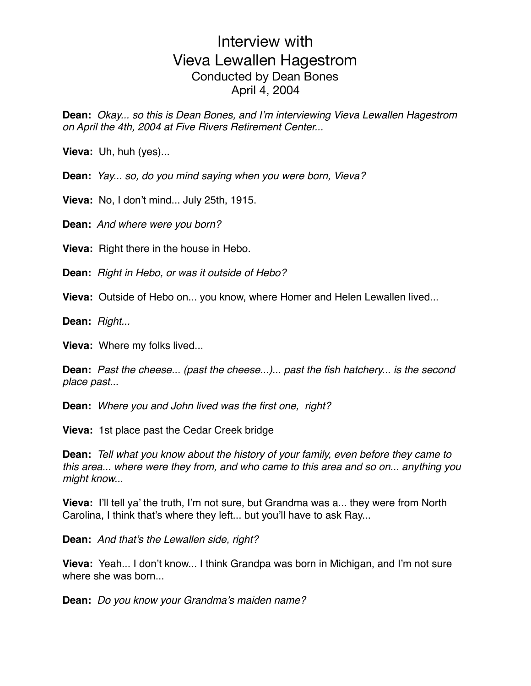**Dean:** *Okay... so this is Dean Bones, and I'm interviewing Vieva Lewallen Hagestrom on April the 4th, 2004 at Five Rivers Retirement Center...*

**Vieva:** Uh, huh (yes)...

**Dean:** *Yay... so, do you mind saying when you were born, Vieva?*

**Vieva:** No, I don't mind... July 25th, 1915.

**Dean:** *And where were you born?*

**Vieva:** Right there in the house in Hebo.

**Dean:** *Right in Hebo, or was it outside of Hebo?*

**Vieva:** Outside of Hebo on... you know, where Homer and Helen Lewallen lived...

**Dean:** *Right...*

**Vieva:** Where my folks lived...

**Dean:** *Past the cheese... (past the cheese...)... past the fish hatchery... is the second place past...*

**Dean:** *Where you and John lived was the first one, right?*

**Vieva:** 1st place past the Cedar Creek bridge

**Dean:** *Tell what you know about the history of your family, even before they came to this area... where were they from, and who came to this area and so on... anything you might know...*

**Vieva:** I'll tell ya' the truth, I'm not sure, but Grandma was a... they were from North Carolina, I think that's where they left... but you'll have to ask Ray...

**Dean:** *And that's the Lewallen side, right?*

**Vieva:** Yeah... I don't know... I think Grandpa was born in Michigan, and I'm not sure where she was born...

**Dean:** *Do you know your Grandma's maiden name?*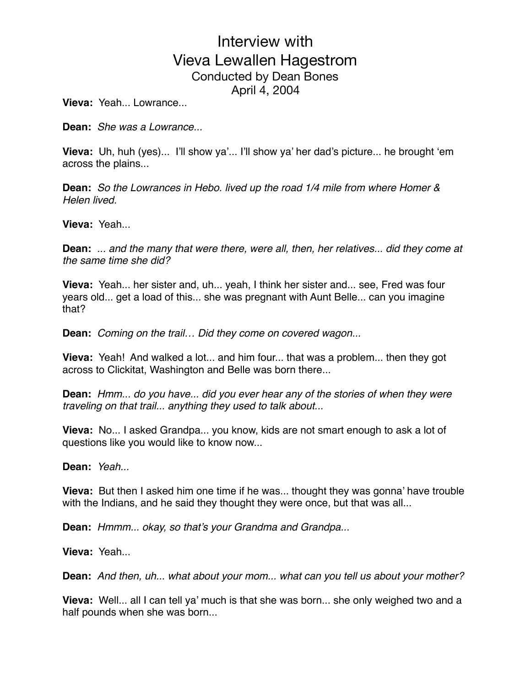**Vieva:** Yeah... Lowrance...

**Dean:** *She was a Lowrance...*

**Vieva:** Uh, huh (yes)... I'll show ya'... I'll show ya' her dad's picture... he brought 'em across the plains...

**Dean:** *So the Lowrances in Hebo. lived up the road 1/4 mile from where Homer & Helen lived.*

**Vieva:** Yeah...

**Dean:** *... and the many that were there, were all, then, her relatives... did they come at the same time she did?*

**Vieva:** Yeah... her sister and, uh... yeah, I think her sister and... see, Fred was four years old... get a load of this... she was pregnant with Aunt Belle... can you imagine that?

**Dean:** *Coming on the trail… Did they come on covered wagon...*

**Vieva:** Yeah! And walked a lot... and him four... that was a problem... then they got across to Clickitat, Washington and Belle was born there...

**Dean:** *Hmm... do you have... did you ever hear any of the stories of when they were traveling on that trail... anything they used to talk about...*

**Vieva:** No... I asked Grandpa... you know, kids are not smart enough to ask a lot of questions like you would like to know now...

**Dean:** *Yeah...*

**Vieva:** But then I asked him one time if he was... thought they was gonna' have trouble with the Indians, and he said they thought they were once, but that was all...

**Dean:** *Hmmm... okay, so that's your Grandma and Grandpa...*

**Vieva:** Yeah...

**Dean:** *And then, uh... what about your mom... what can you tell us about your mother?*

**Vieva:** Well... all I can tell ya' much is that she was born... she only weighed two and a half pounds when she was born...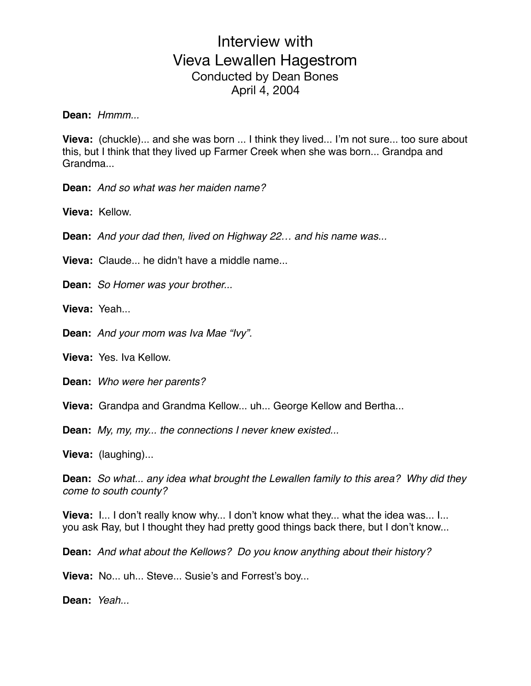**Dean:** *Hmmm...*

**Vieva:** (chuckle)... and she was born ... I think they lived... I'm not sure... too sure about this, but I think that they lived up Farmer Creek when she was born... Grandpa and Grandma...

**Dean:** *And so what was her maiden name?*

**Vieva:** Kellow.

**Dean:** *And your dad then, lived on Highway 22… and his name was...*

**Vieva:** Claude... he didn't have a middle name...

**Dean:** *So Homer was your brother...*

**Vieva:** Yeah...

**Dean:** *And your mom was Iva Mae "Ivy".* 

**Vieva:** Yes. Iva Kellow.

**Dean:** *Who were her parents?*

**Vieva:** Grandpa and Grandma Kellow... uh... George Kellow and Bertha...

**Dean:** *My, my, my... the connections I never knew existed...*

**Vieva:** (laughing)...

**Dean:** *So what... any idea what brought the Lewallen family to this area? Why did they come to south county?*

**Vieva:** I... I don't really know why... I don't know what they... what the idea was... I... you ask Ray, but I thought they had pretty good things back there, but I don't know...

**Dean:** *And what about the Kellows? Do you know anything about their history?*

**Vieva:** No... uh... Steve... Susie's and Forrest's boy...

**Dean:** *Yeah...*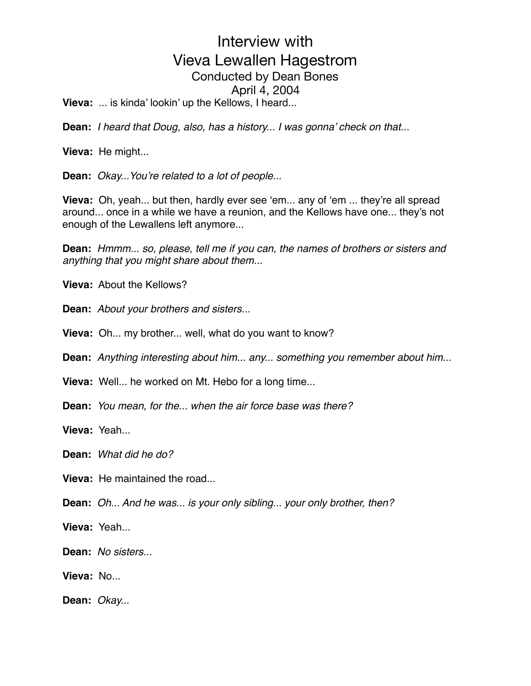**Vieva:** ... is kinda' lookin' up the Kellows, I heard...

**Dean:** *I heard that Doug, also, has a history... I was gonna' check on that...*

**Vieva:** He might...

**Dean:** *Okay...You're related to a lot of people...*

**Vieva:** Oh, yeah... but then, hardly ever see 'em... any of 'em ... they're all spread around... once in a while we have a reunion, and the Kellows have one... they's not enough of the Lewallens left anymore...

**Dean:** *Hmmm... so, please, tell me if you can, the names of brothers or sisters and anything that you might share about them...* 

**Vieva:** About the Kellows?

**Dean:** *About your brothers and sisters...*

**Vieva:** Oh... my brother... well, what do you want to know?

**Dean:** *Anything interesting about him... any... something you remember about him...*

**Vieva:** Well... he worked on Mt. Hebo for a long time...

**Dean:** *You mean, for the... when the air force base was there?*

**Vieva:** Yeah...

**Dean:** *What did he do?*

**Vieva:** He maintained the road...

**Dean:** *Oh... And he was... is your only sibling... your only brother, then?*

**Vieva:** Yeah...

**Dean:** *No sisters...*

**Vieva:** No...

**Dean:** *Okay...*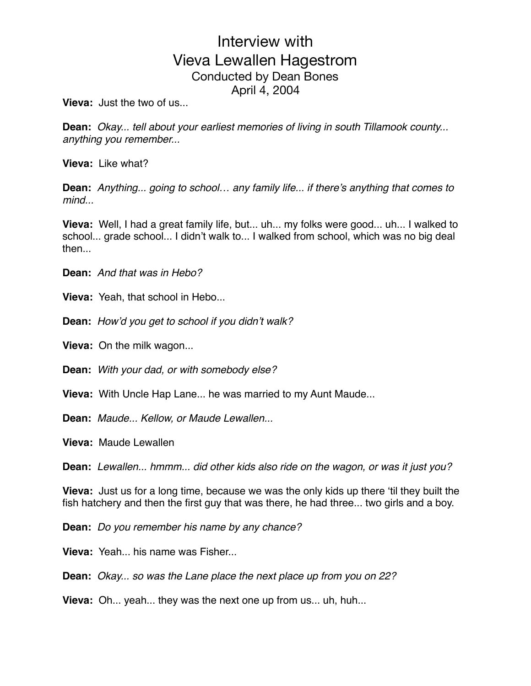**Vieva:** Just the two of us...

**Dean:** *Okay... tell about your earliest memories of living in south Tillamook county... anything you remember...*

**Vieva:** Like what?

**Dean:** *Anything... going to school… any family life... if there's anything that comes to mind...*

**Vieva:** Well, I had a great family life, but... uh... my folks were good... uh... I walked to school... grade school... I didn't walk to... I walked from school, which was no big deal then...

**Dean:** *And that was in Hebo?*

**Vieva:** Yeah, that school in Hebo...

**Dean:** *How'd you get to school if you didn't walk?*

**Vieva:** On the milk wagon...

**Dean:** *With your dad, or with somebody else?*

**Vieva:** With Uncle Hap Lane... he was married to my Aunt Maude...

**Dean:** *Maude... Kellow, or Maude Lewallen...*

**Vieva:** Maude Lewallen

**Dean:** *Lewallen... hmmm... did other kids also ride on the wagon, or was it just you?* 

**Vieva:** Just us for a long time, because we was the only kids up there 'til they built the fish hatchery and then the first guy that was there, he had three... two girls and a boy.

**Dean:** *Do you remember his name by any chance?*

**Vieva:** Yeah... his name was Fisher...

**Dean:** *Okay... so was the Lane place the next place up from you on 22?*

**Vieva:** Oh... yeah... they was the next one up from us... uh, huh...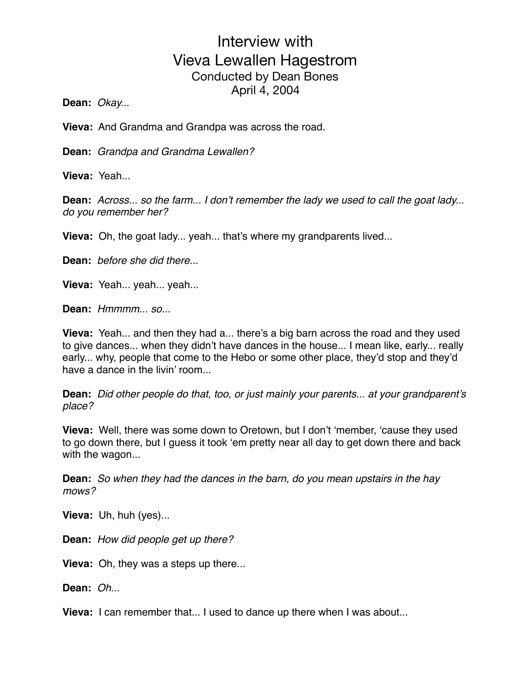**Dean:** *Okay...*

**Vieva:** And Grandma and Grandpa was across the road.

**Dean:** *Grandpa and Grandma Lewallen?*

**Vieva:** Yeah...

**Dean:** *Across... so the farm... I don't remember the lady we used to call the goat lady... do you remember her?*

**Vieva:** Oh, the goat lady... yeah... that's where my grandparents lived...

**Dean:** *before she did there...*

**Vieva:** Yeah... yeah... yeah...

**Dean:** *Hmmmm... so...*

**Vieva:** Yeah... and then they had a... there's a big barn across the road and they used to give dances... when they didn't have dances in the house... I mean like, early... really early... why, people that come to the Hebo or some other place, they'd stop and they'd have a dance in the livin' room...

**Dean:** *Did other people do that, too, or just mainly your parents... at your grandparent's place?*

**Vieva:** Well, there was some down to Oretown, but I don't 'member, 'cause they used to go down there, but I guess it took 'em pretty near all day to get down there and back with the wagon...

**Dean:** *So when they had the dances in the barn, do you mean upstairs in the hay mows?*

**Vieva:** Uh, huh (yes)...

**Dean:** *How did people get up there?*

**Vieva:** Oh, they was a steps up there...

**Dean:** *Oh...*

**Vieva:** I can remember that... I used to dance up there when I was about...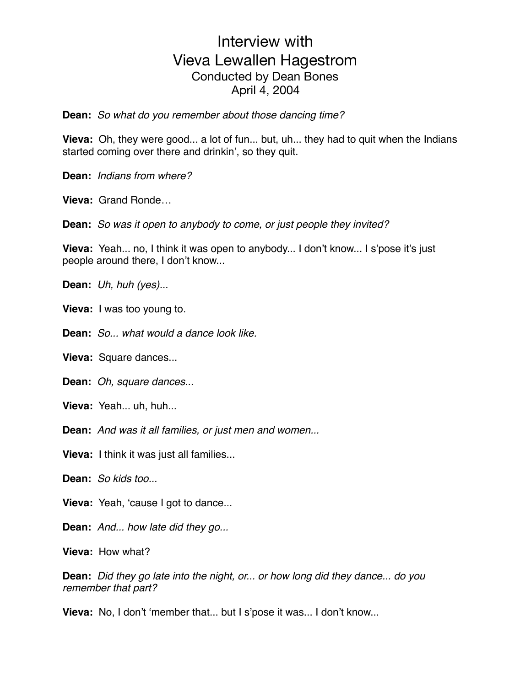**Dean:** *So what do you remember about those dancing time?*

**Vieva:** Oh, they were good... a lot of fun... but, uh... they had to quit when the Indians started coming over there and drinkin', so they quit.

**Dean:** *Indians from where?*

**Vieva:** Grand Ronde…

**Dean:** *So was it open to anybody to come, or just people they invited?*

**Vieva:** Yeah... no, I think it was open to anybody... I don't know... I s'pose it's just people around there, I don't know...

**Dean:** *Uh, huh (yes)...*

**Vieva:** I was too young to.

**Dean:** *So... what would a dance look like.*

**Vieva:** Square dances...

**Dean:** *Oh, square dances...*

**Vieva:** Yeah... uh, huh...

**Dean:** *And was it all families, or just men and women...*

**Vieva:** I think it was just all families...

**Dean:** *So kids too...*

**Vieva:** Yeah, 'cause I got to dance...

**Dean:** *And... how late did they go...*

**Vieva:** How what?

**Dean:** *Did they go late into the night, or... or how long did they dance... do you remember that part?*

**Vieva:** No, I don't 'member that... but I s'pose it was... I don't know...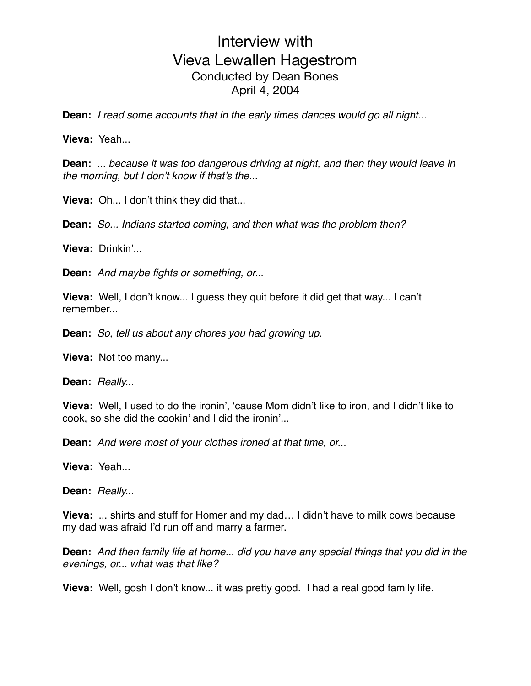**Dean:** *I read some accounts that in the early times dances would go all night...*

**Vieva:** Yeah...

**Dean:** *... because it was too dangerous driving at night, and then they would leave in the morning, but I don't know if that's the...*

**Vieva:** Oh... I don't think they did that...

**Dean:** *So... Indians started coming, and then what was the problem then?*

**Vieva:** Drinkin'...

**Dean:** *And maybe fights or something, or..*.

**Vieva:** Well, I don't know... I guess they quit before it did get that way... I can't remember

**Dean:** *So, tell us about any chores you had growing up.*

**Vieva:** Not too many...

**Dean:** *Really...*

**Vieva:** Well, I used to do the ironin', 'cause Mom didn't like to iron, and I didn't like to cook, so she did the cookin' and I did the ironin'...

**Dean:** *And were most of your clothes ironed at that time, or...*

**Vieva:** Yeah...

**Dean:** *Really...*

**Vieva:** ... shirts and stuff for Homer and my dad… I didn't have to milk cows because my dad was afraid I'd run off and marry a farmer.

**Dean:** *And then family life at home... did you have any special things that you did in the evenings, or... what was that like?*

**Vieva:** Well, gosh I don't know... it was pretty good. I had a real good family life.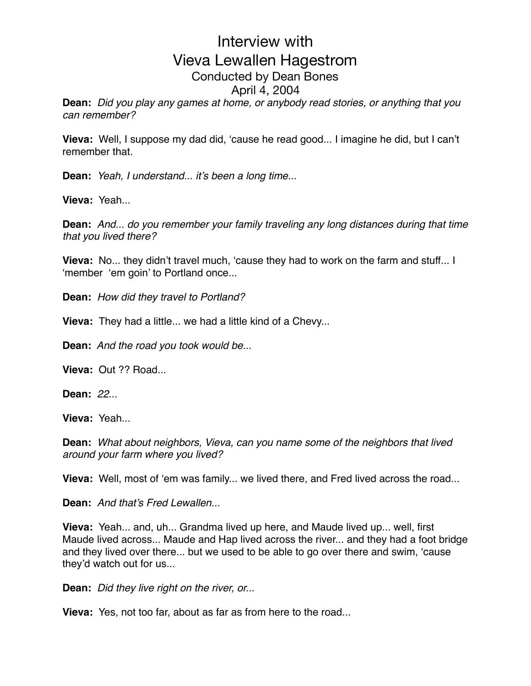**Dean:** *Did you play any games at home, or anybody read stories, or anything that you can remember?*

**Vieva:** Well, I suppose my dad did, 'cause he read good... I imagine he did, but I can't remember that.

**Dean:** *Yeah, I understand... it's been a long time...*

**Vieva:** Yeah...

**Dean:** *And... do you remember your family traveling any long distances during that time that you lived there?*

**Vieva:** No... they didn't travel much, 'cause they had to work on the farm and stuff... I 'member 'em goin' to Portland once...

**Dean:** *How did they travel to Portland?*

**Vieva:** They had a little... we had a little kind of a Chevy...

**Dean:** *And the road you took would be...*

**Vieva:** Out ?? Road...

**Dean:** *22...*

**Vieva:** Yeah...

**Dean:** *What about neighbors, Vieva, can you name some of the neighbors that lived around your farm where you lived?*

**Vieva:** Well, most of 'em was family... we lived there, and Fred lived across the road...

**Dean:** *And that's Fred Lewallen...*

**Vieva:** Yeah... and, uh... Grandma lived up here, and Maude lived up... well, first Maude lived across... Maude and Hap lived across the river... and they had a foot bridge and they lived over there... but we used to be able to go over there and swim, 'cause they'd watch out for us...

**Dean:** *Did they live right on the river, or...*

**Vieva:** Yes, not too far, about as far as from here to the road...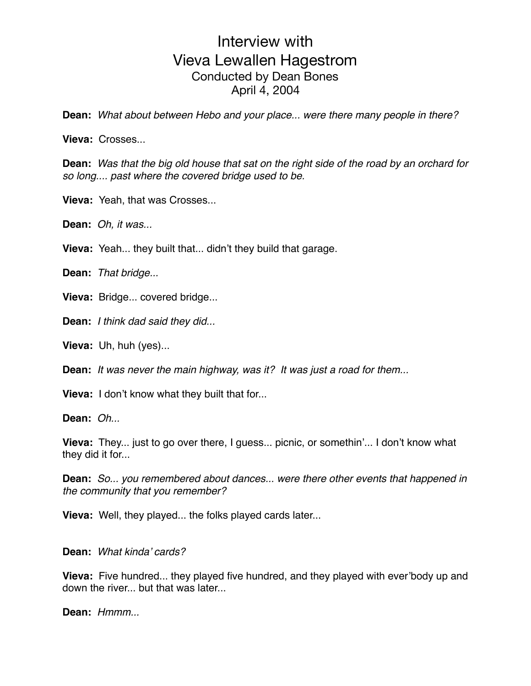**Dean:** *What about between Hebo and your place... were there many people in there?*

**Vieva:** Crosses...

**Dean:** *Was that the big old house that sat on the right side of the road by an orchard for so long.... past where the covered bridge used to be.*

**Vieva:** Yeah, that was Crosses...

**Dean:** *Oh, it was...*

**Vieva:** Yeah... they built that... didn't they build that garage.

**Dean:** *That bridge...*

**Vieva:** Bridge... covered bridge...

**Dean:** *I think dad said they did...*

**Vieva:** Uh, huh (yes)...

**Dean:** *It was never the main highway, was it? It was just a road for them...*

**Vieva:** I don't know what they built that for...

**Dean:** *Oh...*

**Vieva:** They... just to go over there, I guess... picnic, or somethin'... I don't know what they did it for...

**Dean:** *So... you remembered about dances... were there other events that happened in the community that you remember?*

**Vieva:** Well, they played... the folks played cards later...

#### **Dean:** *What kinda' cards?*

**Vieva:** Five hundred... they played five hundred, and they played with ever'body up and down the river... but that was later...

**Dean:** *Hmmm...*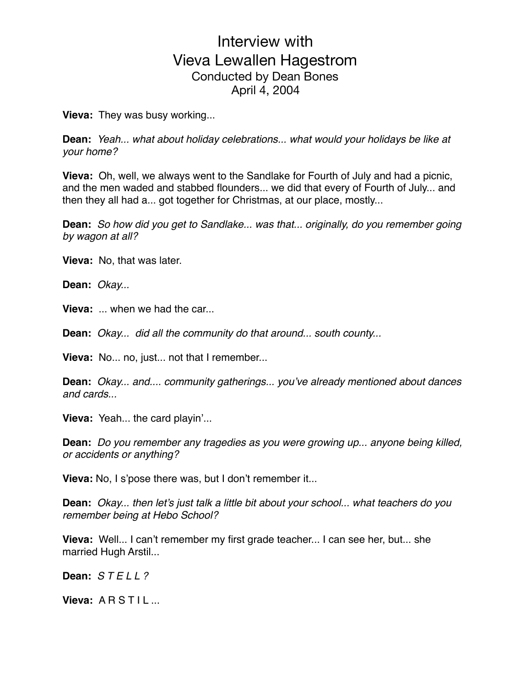**Vieva:** They was busy working...

**Dean:** *Yeah... what about holiday celebrations... what would your holidays be like at your home?*

**Vieva:** Oh, well, we always went to the Sandlake for Fourth of July and had a picnic, and the men waded and stabbed flounders... we did that every of Fourth of July... and then they all had a... got together for Christmas, at our place, mostly...

**Dean:** *So how did you get to Sandlake... was that... originally, do you remember going by wagon at all?*

**Vieva:** No, that was later.

**Dean:** *Okay...*

**Vieva:** ... when we had the car...

**Dean:** *Okay... did all the community do that around... south county...*

**Vieva:** No... no, just... not that I remember...

**Dean:** *Okay... and.... community gatherings... you've already mentioned about dances and cards...*

**Vieva:** Yeah... the card playin'...

**Dean:** *Do you remember any tragedies as you were growing up... anyone being killed, or accidents or anything?*

**Vieva:** No, I s'pose there was, but I don't remember it...

**Dean:** *Okay... then let's just talk a little bit about your school... what teachers do you remember being at Hebo School?*

**Vieva:** Well... I can't remember my first grade teacher... I can see her, but... she married Hugh Arstil...

**Dean:** *S T E L L ?* 

**Vieva: ARSTIL...**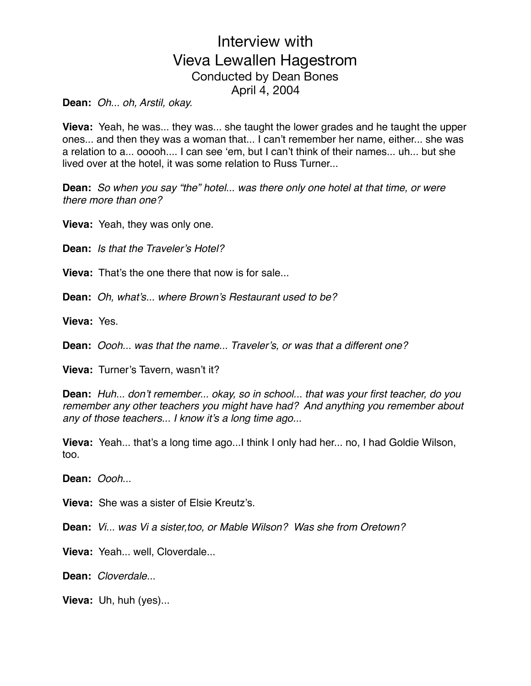**Dean:** *Oh... oh, Arstil, okay.*

**Vieva:** Yeah, he was... they was... she taught the lower grades and he taught the upper ones... and then they was a woman that... I can't remember her name, either... she was a relation to a... ooooh.... I can see 'em, but I can't think of their names... uh... but she lived over at the hotel, it was some relation to Russ Turner...

**Dean:** *So when you say "the" hotel... was there only one hotel at that time, or were there more than one?*

**Vieva:** Yeah, they was only one.

**Dean:** *Is that the Traveler's Hotel?*

**Vieva:** That's the one there that now is for sale.

**Dean:** *Oh, what's... where Brown's Restaurant used to be?*

**Vieva:** Yes.

**Dean:** *Oooh... was that the name... Traveler's, or was that a different one?*

**Vieva:** Turner's Tavern, wasn't it?

**Dean:** *Huh... don't remember... okay, so in school... that was your first teacher, do you remember any other teachers you might have had? And anything you remember about any of those teachers... I know it's a long time ago...*

**Vieva:** Yeah... that's a long time ago...I think I only had her... no, I had Goldie Wilson, too.

**Dean:** *Oooh...*

**Vieva:** She was a sister of Elsie Kreutz's.

**Dean:** *Vi... was Vi a sister,too, or Mable Wilson? Was she from Oretown?*

**Vieva:** Yeah... well, Cloverdale...

**Dean:** *Cloverdale...*

**Vieva:** Uh, huh (yes)...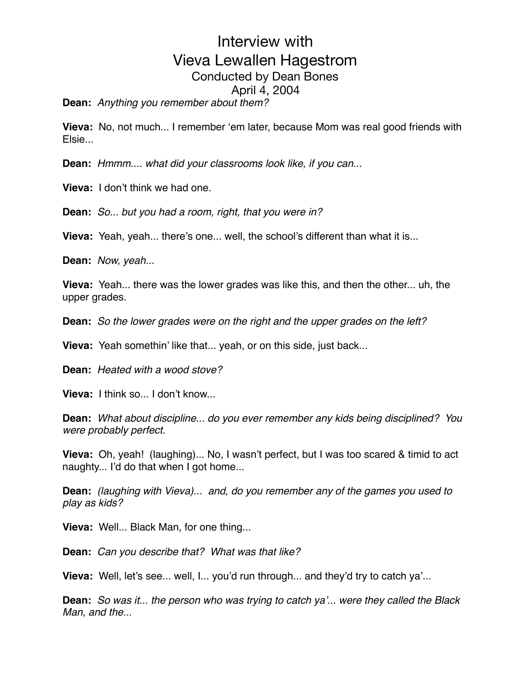**Dean:** *Anything you remember about them?*

**Vieva:** No, not much... I remember 'em later, because Mom was real good friends with Elsie...

**Dean:** *Hmmm.... what did your classrooms look like, if you can...*

**Vieva:** I don't think we had one.

**Dean:** *So... but you had a room, right, that you were in?*

**Vieva:** Yeah, yeah... there's one... well, the school's different than what it is...

**Dean:** *Now, yeah...* 

**Vieva:** Yeah... there was the lower grades was like this, and then the other... uh, the upper grades.

**Dean:** *So the lower grades were on the right and the upper grades on the left?*

**Vieva:** Yeah somethin' like that... yeah, or on this side, just back...

**Dean:** *Heated with a wood stove?*

**Vieva:** I think so... I don't know...

**Dean:** *What about discipline... do you ever remember any kids being disciplined? You were probably perfect.*

**Vieva:** Oh, yeah! (laughing)... No, I wasn't perfect, but I was too scared & timid to act naughty... I'd do that when I got home...

**Dean:** *(laughing with Vieva)... and, do you remember any of the games you used to play as kids?*

**Vieva:** Well... Black Man, for one thing...

**Dean:** *Can you describe that? What was that like?*

**Vieva:** Well, let's see... well, I... you'd run through... and they'd try to catch ya'...

**Dean:** *So was it... the person who was trying to catch ya'... were they called the Black Man, and the...*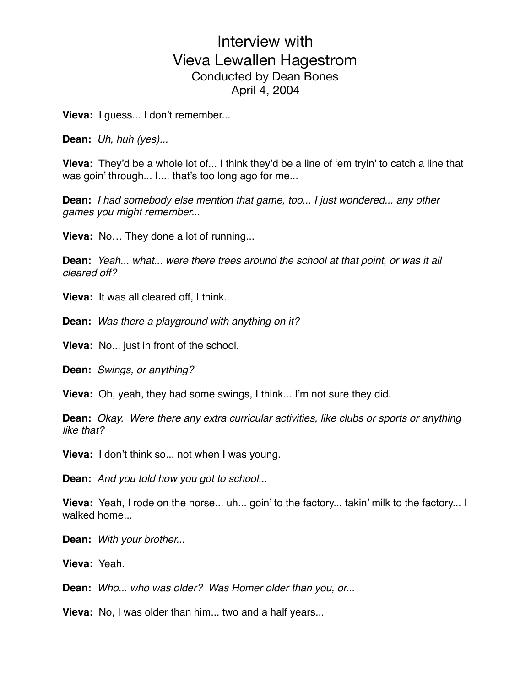**Vieva:** I guess... I don't remember...

**Dean:** *Uh, huh (yes)...*

**Vieva:** They'd be a whole lot of... I think they'd be a line of 'em tryin' to catch a line that was goin' through... I.... that's too long ago for me...

**Dean:** *I had somebody else mention that game, too... I just wondered... any other games you might remember...*

**Vieva:** No… They done a lot of running...

**Dean:** *Yeah... what... were there trees around the school at that point, or was it all cleared off?*

**Vieva:** It was all cleared off, I think.

**Dean:** *Was there a playground with anything on it?*

**Vieva:** No... just in front of the school.

**Dean:** *Swings, or anything?*

**Vieva:** Oh, yeah, they had some swings, I think... I'm not sure they did.

**Dean:** *Okay. Were there any extra curricular activities, like clubs or sports or anything like that?*

**Vieva:** I don't think so... not when I was young.

**Dean:** *And you told how you got to school...*

**Vieva:** Yeah, I rode on the horse... uh... goin' to the factory... takin' milk to the factory... I walked home...

**Dean:** *With your brother...*

**Vieva:** Yeah.

**Dean:** *Who... who was older? Was Homer older than you, or...*

**Vieva:** No, I was older than him... two and a half years...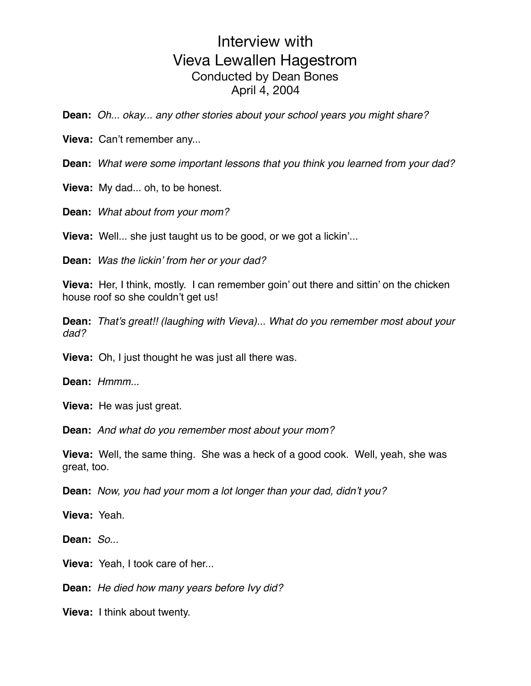**Dean:** *Oh... okay... any other stories about your school years you might share?*

**Vieva:** Can't remember any...

**Dean:** *What were some important lessons that you think you learned from your dad?*

**Vieva:** My dad... oh, to be honest.

**Dean:** *What about from your mom?*

**Vieva:** Well... she just taught us to be good, or we got a lickin'...

**Dean:** *Was the lickin' from her or your dad?*

**Vieva:** Her, I think, mostly. I can remember goin' out there and sittin' on the chicken house roof so she couldn't get us!

**Dean:** *That's great!! (laughing with Vieva)... What do you remember most about your dad?*

**Vieva:** Oh, I just thought he was just all there was.

**Dean:** *Hmmm...*

**Vieva:** He was just great.

**Dean:** *And what do you remember most about your mom?*

**Vieva:** Well, the same thing. She was a heck of a good cook. Well, yeah, she was great, too.

**Dean:** *Now, you had your mom a lot longer than your dad, didn't you?*

**Vieva:** Yeah.

**Dean:** *So...*

**Vieva:** Yeah, I took care of her...

**Dean:** *He died how many years before Ivy did?*

**Vieva:** I think about twenty.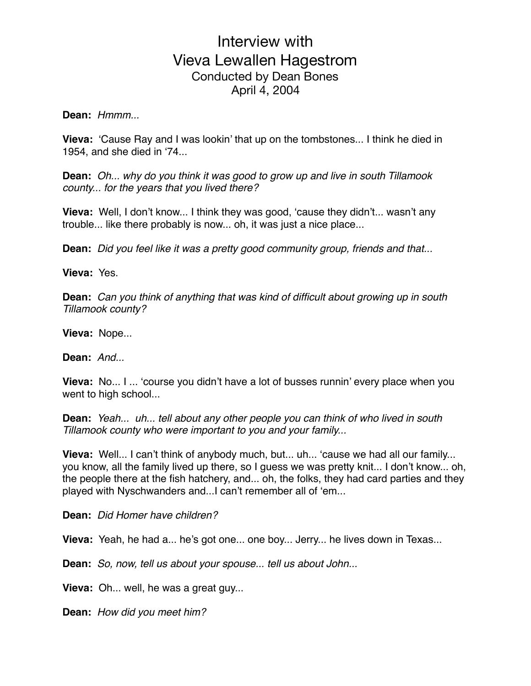#### **Dean:** *Hmmm...*

**Vieva:** 'Cause Ray and I was lookin' that up on the tombstones... I think he died in 1954, and she died in '74...

**Dean:** *Oh... why do you think it was good to grow up and live in south Tillamook county... for the years that you lived there?*

**Vieva:** Well, I don't know... I think they was good, 'cause they didn't... wasn't any trouble... like there probably is now... oh, it was just a nice place...

**Dean:** *Did you feel like it was a pretty good community group, friends and that...*

#### **Vieva:** Yes.

**Dean:** *Can you think of anything that was kind of difficult about growing up in south Tillamook county?*

**Vieva:** Nope...

**Dean:** *And...*

**Vieva:** No... I ... 'course you didn't have a lot of busses runnin' every place when you went to high school...

**Dean:** *Yeah... uh... tell about any other people you can think of who lived in south Tillamook county who were important to you and your family...*

**Vieva:** Well... I can't think of anybody much, but... uh... 'cause we had all our family... you know, all the family lived up there, so I guess we was pretty knit... I don't know... oh, the people there at the fish hatchery, and... oh, the folks, they had card parties and they played with Nyschwanders and...I can't remember all of 'em...

**Dean:** *Did Homer have children?*

**Vieva:** Yeah, he had a... he's got one... one boy... Jerry... he lives down in Texas...

**Dean:** *So, now, tell us about your spouse... tell us about John...*

**Vieva:** Oh... well, he was a great guy...

**Dean:** *How did you meet him?*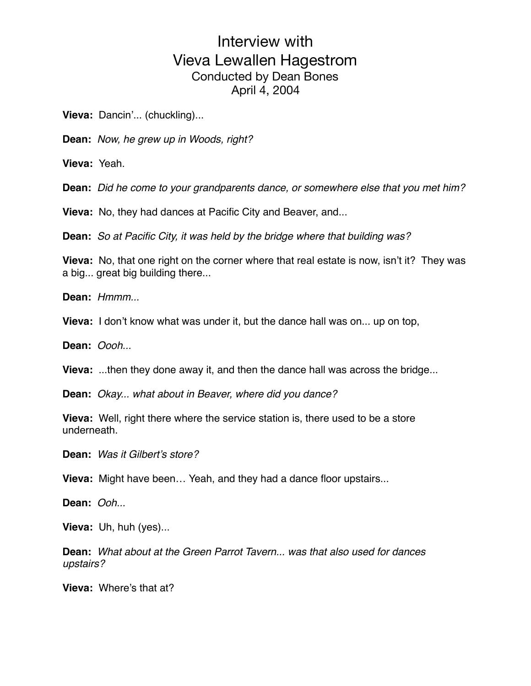**Vieva:** Dancin'... (chuckling)...

**Dean:** *Now, he grew up in Woods, right?*

**Vieva:** Yeah.

**Dean:** *Did he come to your grandparents dance, or somewhere else that you met him?*

**Vieva:** No, they had dances at Pacific City and Beaver, and...

**Dean:** *So at Pacific City, it was held by the bridge where that building was?*

**Vieva:** No, that one right on the corner where that real estate is now, isn't it? They was a big... great big building there...

**Dean:** *Hmmm...*

**Vieva:** I don't know what was under it, but the dance hall was on... up on top,

**Dean:** *Oooh...*

**Vieva:** ...then they done away it, and then the dance hall was across the bridge...

**Dean:** *Okay... what about in Beaver, where did you dance?*

**Vieva:** Well, right there where the service station is, there used to be a store underneath.

**Dean:** *Was it Gilbert's store?*

**Vieva:** Might have been… Yeah, and they had a dance floor upstairs...

**Dean:** *Ooh...*

**Vieva:** Uh, huh (yes)...

**Dean:** *What about at the Green Parrot Tavern... was that also used for dances upstairs?*

**Vieva:** Where's that at?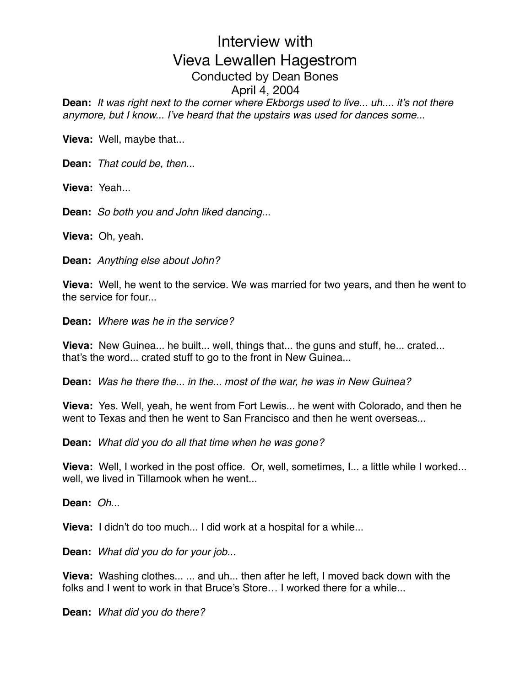**Dean:** *It was right next to the corner where Ekborgs used to live... uh.... it's not there anymore, but I know... I've heard that the upstairs was used for dances some..*.

**Vieva:** Well, maybe that...

**Dean:** *That could be, then...*

**Vieva:** Yeah...

**Dean:** *So both you and John liked dancing...*

**Vieva:** Oh, yeah.

**Dean:** *Anything else about John?*

**Vieva:** Well, he went to the service. We was married for two years, and then he went to the service for four...

**Dean:** *Where was he in the service?*

**Vieva:** New Guinea... he built... well, things that... the guns and stuff, he... crated... that's the word... crated stuff to go to the front in New Guinea...

**Dean:** *Was he there the... in the... most of the war, he was in New Guinea?*

**Vieva:** Yes. Well, yeah, he went from Fort Lewis... he went with Colorado, and then he went to Texas and then he went to San Francisco and then he went overseas...

**Dean:** *What did you do all that time when he was gone?*

**Vieva:** Well, I worked in the post office. Or, well, sometimes, I... a little while I worked... well, we lived in Tillamook when he went...

**Dean:** *Oh...*

**Vieva:** I didn't do too much... I did work at a hospital for a while...

**Dean:** *What did you do for your job...*

**Vieva:** Washing clothes... ... and uh... then after he left, I moved back down with the folks and I went to work in that Bruce's Store… I worked there for a while...

**Dean:** *What did you do there?*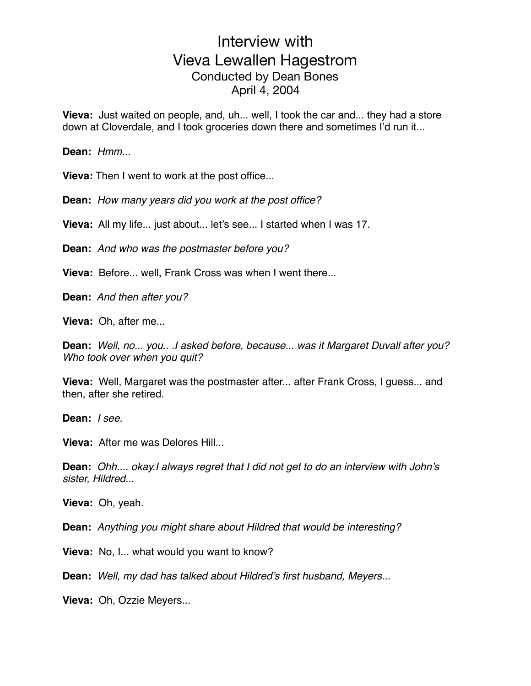**Vieva:** Just waited on people, and, uh... well, I took the car and... they had a store down at Cloverdale, and I took groceries down there and sometimes I'd run it...

**Dean:** *Hmm...*

**Vieva:** Then I went to work at the post office...

**Dean:** *How many years did you work at the post office?*

**Vieva:** All my life... just about... let's see... I started when I was 17.

**Dean:** *And who was the postmaster before you?*

**Vieva:** Before... well, Frank Cross was when I went there...

**Dean:** *And then after you?*

**Vieva:** Oh, after me...

**Dean:** *Well, no... you.. .I asked before, because... was it Margaret Duvall after you? Who took over when you quit?*

**Vieva:** Well, Margaret was the postmaster after... after Frank Cross, I guess... and then, after she retired.

**Dean:** *I see.*

**Vieva:** After me was Delores Hill...

**Dean:** *Ohh.... okay.I always regret that I did not get to do an interview with John's sister, Hildred...*

**Vieva:** Oh, yeah.

**Dean:** *Anything you might share about Hildred that would be interesting?*

**Vieva:** No, I... what would you want to know?

**Dean:** *Well, my dad has talked about Hildred's first husband, Meyers...*

**Vieva:** Oh, Ozzie Meyers...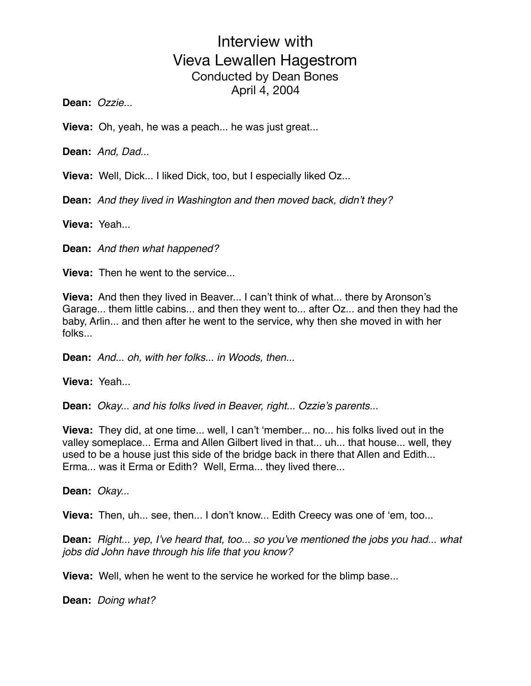**Dean:** *Ozzie...*

**Vieva:** Oh, yeah, he was a peach... he was just great...

**Dean:** *And, Dad...*

**Vieva:** Well, Dick... I liked Dick, too, but I especially liked Oz...

**Dean:** *And they lived in Washington and then moved back, didn't they?*

**Vieva:** Yeah...

**Dean:** *And then what happened?*

**Vieva:** Then he went to the service...

**Vieva:** And then they lived in Beaver... I can't think of what... there by Aronson's Garage... them little cabins... and then they went to... after Oz... and then they had the baby, Arlin... and then after he went to the service, why then she moved in with her folks...

**Dean:** *And... oh, with her folks... in Woods, then...*

**Vieva:** Yeah...

**Dean:** *Okay... and his folks lived in Beaver, right... Ozzie's parents...*

**Vieva:** They did, at one time... well, I can't 'member... no... his folks lived out in the valley someplace... Erma and Allen Gilbert lived in that... uh... that house... well, they used to be a house just this side of the bridge back in there that Allen and Edith... Erma... was it Erma or Edith? Well, Erma... they lived there...

**Dean:** *Okay...*

**Vieva:** Then, uh... see, then... I don't know... Edith Creecy was one of 'em, too...

**Dean:** *Right... yep, I've heard that, too... so you've mentioned the jobs you had... what jobs did John have through his life that you know?*

**Vieva:** Well, when he went to the service he worked for the blimp base...

**Dean:** *Doing what?*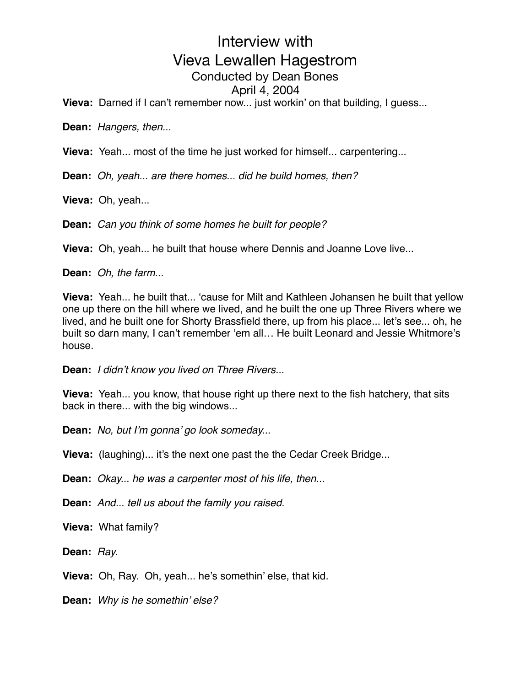**Vieva:** Darned if I can't remember now... just workin' on that building, I guess...

**Dean:** *Hangers, then...*

**Vieva:** Yeah... most of the time he just worked for himself... carpentering...

**Dean:** *Oh, yeah... are there homes... did he build homes, then?*

**Vieva:** Oh, yeah...

**Dean:** *Can you think of some homes he built for people?*

**Vieva:** Oh, yeah... he built that house where Dennis and Joanne Love live...

**Dean:** *Oh, the farm...*

**Vieva:** Yeah... he built that... 'cause for Milt and Kathleen Johansen he built that yellow one up there on the hill where we lived, and he built the one up Three Rivers where we lived, and he built one for Shorty Brassfield there, up from his place... let's see... oh, he built so darn many, I can't remember 'em all… He built Leonard and Jessie Whitmore's house.

**Dean:** *I didn't know you lived on Three Rivers...*

**Vieva:** Yeah... you know, that house right up there next to the fish hatchery, that sits back in there... with the big windows...

**Dean:** *No, but I'm gonna' go look someday...*

**Vieva:** (laughing)... it's the next one past the the Cedar Creek Bridge...

**Dean:** *Okay... he was a carpenter most of his life, then...*

**Dean:** *And... tell us about the family you raised.*

**Vieva:** What family?

**Dean:** *Ray.*

**Vieva:** Oh, Ray. Oh, yeah... he's somethin' else, that kid.

**Dean:** *Why is he somethin' else?*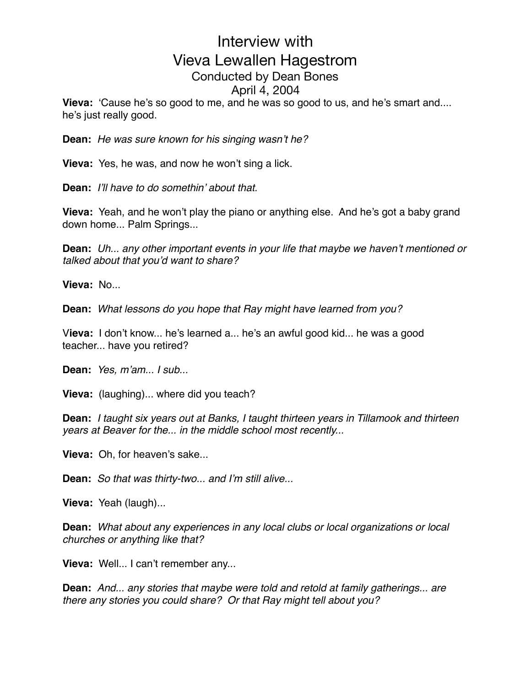**Vieva:** 'Cause he's so good to me, and he was so good to us, and he's smart and.... he's just really good.

**Dean:** *He was sure known for his singing wasn't he?*

**Vieva:** Yes, he was, and now he won't sing a lick.

**Dean:** *I'll have to do somethin' about that.*

**Vieva:** Yeah, and he won't play the piano or anything else. And he's got a baby grand down home... Palm Springs...

**Dean:** *Uh... any other important events in your life that maybe we haven't mentioned or talked about that you'd want to share?*

**Vieva:** No...

**Dean:** *What lessons do you hope that Ray might have learned from you?*

V**ieva:** I don't know... he's learned a... he's an awful good kid... he was a good teacher... have you retired?

**Dean:** *Yes, m'am... I sub...*

**Vieva:** (laughing)... where did you teach?

**Dean:** *I taught six years out at Banks, I taught thirteen years in Tillamook and thirteen years at Beaver for the... in the middle school most recently...*

**Vieva:** Oh, for heaven's sake...

**Dean:** *So that was thirty-two... and I'm still alive...*

**Vieva:** Yeah (laugh)...

**Dean:** *What about any experiences in any local clubs or local organizations or local churches or anything like that?*

**Vieva:** Well... I can't remember any...

**Dean:** *And... any stories that maybe were told and retold at family gatherings... are there any stories you could share? Or that Ray might tell about you?*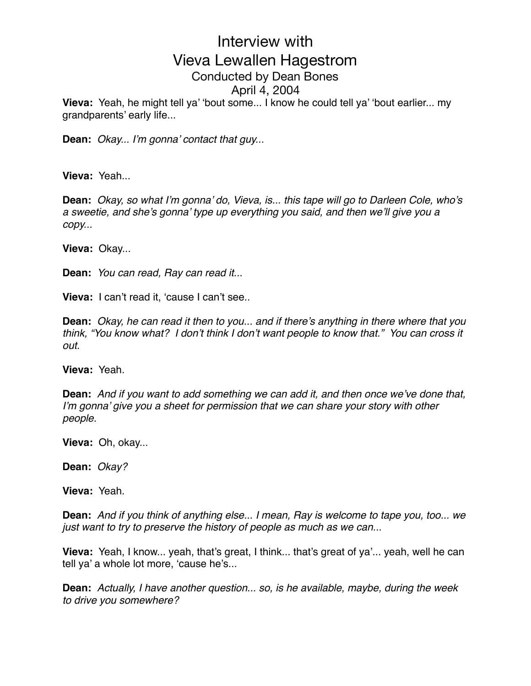**Vieva:** Yeah, he might tell ya' 'bout some... I know he could tell ya' 'bout earlier... my grandparents' early life...

**Dean:** *Okay... I'm gonna' contact that guy...*

**Vieva:** Yeah...

**Dean:** *Okay, so what I'm gonna' do, Vieva, is... this tape will go to Darleen Cole, who's a sweetie, and she's gonna' type up everything you said, and then we'll give you a copy...*

**Vieva:** Okay...

**Dean:** *You can read, Ray can read it...*

**Vieva:** I can't read it, 'cause I can't see..

**Dean:** *Okay, he can read it then to you... and if there's anything in there where that you think, "You know what? I don't think I don't want people to know that." You can cross it out.*

**Vieva:** Yeah.

**Dean:** *And if you want to add something we can add it, and then once we've done that, I'm gonna' give you a sheet for permission that we can share your story with other people.*

**Vieva:** Oh, okay...

**Dean:** *Okay?*

**Vieva:** Yeah.

**Dean:** *And if you think of anything else... I mean, Ray is welcome to tape you, too... we just want to try to preserve the history of people as much as we can...*

**Vieva:** Yeah, I know... yeah, that's great, I think... that's great of ya'... yeah, well he can tell ya' a whole lot more, 'cause he's...

**Dean:** *Actually, I have another question... so, is he available, maybe, during the week to drive you somewhere?*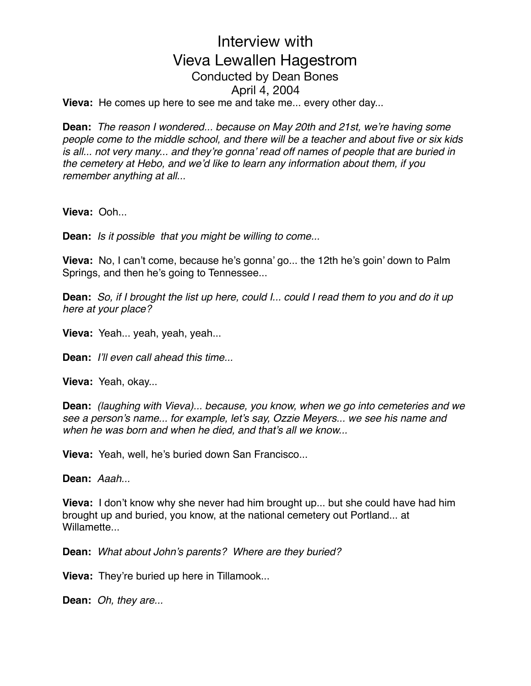**Vieva:** He comes up here to see me and take me... every other day...

**Dean:** *The reason I wondered... because on May 20th and 21st, we're having some people come to the middle school, and there will be a teacher and about five or six kids is all... not very many... and they're gonna' read off names of people that are buried in the cemetery at Hebo, and we'd like to learn any information about them, if you remember anything at all...*

**Vieva:** Ooh...

**Dean:** *Is it possible that you might be willing to come...*

**Vieva:** No, I can't come, because he's gonna' go... the 12th he's goin' down to Palm Springs, and then he's going to Tennessee...

**Dean:** *So, if I brought the list up here, could I... could I read them to you and do it up here at your place?*

**Vieva:** Yeah... yeah, yeah, yeah...

**Dean:** *I'll even call ahead this time...*

**Vieva:** Yeah, okay...

**Dean:** *(laughing with Vieva)... because, you know, when we go into cemeteries and we see a person's name... for example, let's say, Ozzie Meyers... we see his name and when he was born and when he died, and that's all we know...*

**Vieva:** Yeah, well, he's buried down San Francisco...

**Dean:** *Aaah...*

**Vieva:** I don't know why she never had him brought up... but she could have had him brought up and buried, you know, at the national cemetery out Portland... at Willamette

**Dean:** *What about John's parents? Where are they buried?*

**Vieva:** They're buried up here in Tillamook...

**Dean:** *Oh, they are...*